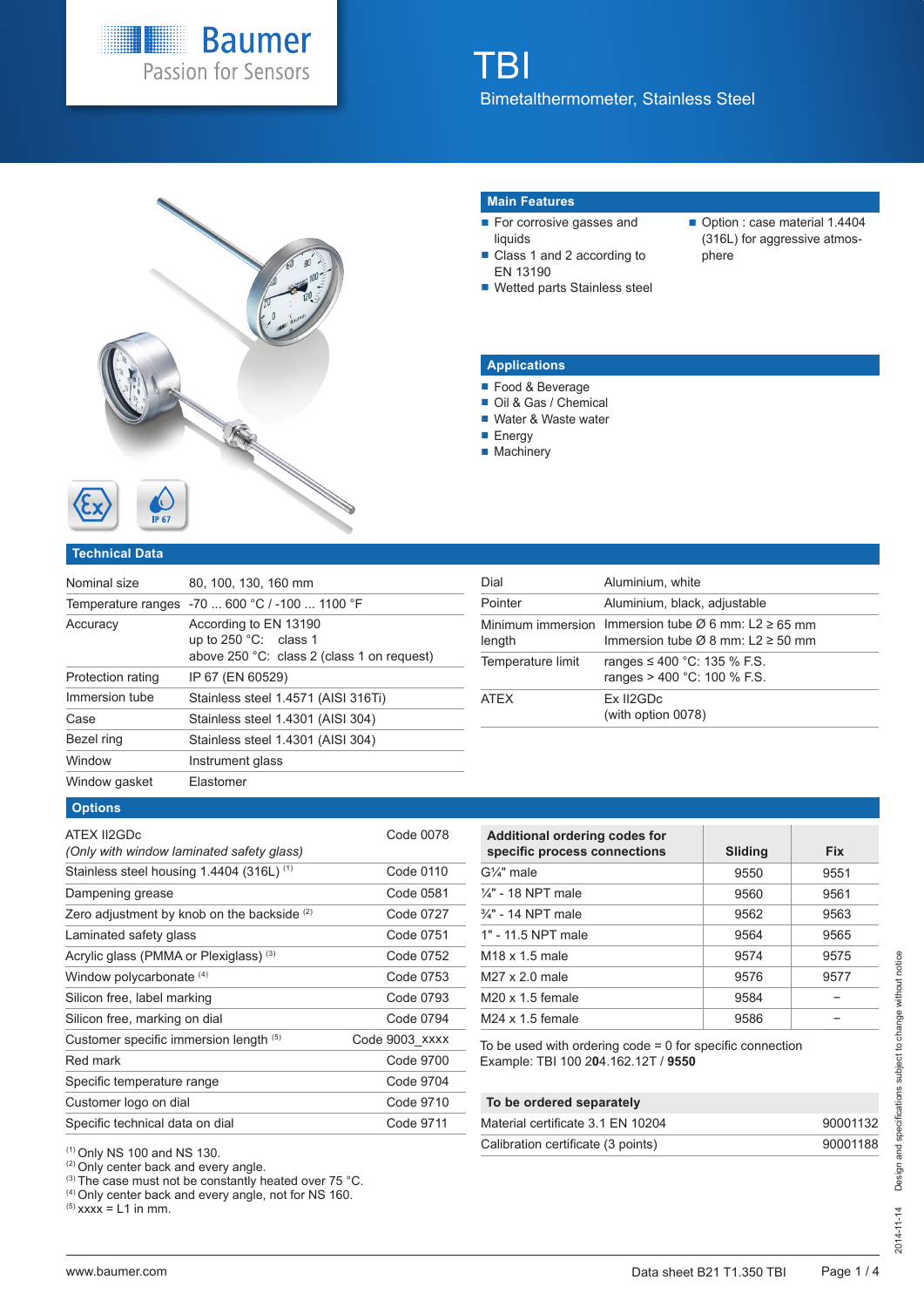



#### **Main Features**

- For corrosive gasses and liquids
- Class 1 and 2 according to EN 13190
- Wetted parts Stainless steel
- Option : case material 1.4404 (316L) for aggressive atmosphere

## **Applications**

- Food & Beverage
- Oil & Gas / Chemical
- Water & Waste water
- **Energy**
- **Machinery**

#### **Technical Data**

| Nominal size      | 80, 100, 130, 160 mm                                                                                  |
|-------------------|-------------------------------------------------------------------------------------------------------|
|                   | Temperature ranges -70  600 °C / -100  1100 °F                                                        |
| Accuracy          | According to EN 13190<br>up to $250^{\circ}$ C: class 1<br>above 250 °C: class 2 (class 1 on request) |
| Protection rating | IP 67 (EN 60529)                                                                                      |
| Immersion tube    | Stainless steel 1.4571 (AISI 316Ti)                                                                   |
| Case              | Stainless steel 1.4301 (AISI 304)                                                                     |
| Bezel ring        | Stainless steel 1.4301 (AISI 304)                                                                     |
| Window            | Instrument glass                                                                                      |
| Window gasket     | Elastomer                                                                                             |

| Dial              | Aluminium, white                                                                                                           |
|-------------------|----------------------------------------------------------------------------------------------------------------------------|
| Pointer           | Aluminium, black, adjustable                                                                                               |
| length            | Minimum immersion Immersion tube $\varnothing$ 6 mm: L2 $\geq$ 65 mm<br>Immersion tube $\varnothing$ 8 mm: L2 $\geq$ 50 mm |
| Temperature limit | ranges ≤ 400 °C: 135 % F.S.<br>ranges $> 400$ °C: 100 % F.S.                                                               |
| <b>ATFX</b>       | Ex II2GDc<br>(with option 0078)                                                                                            |

#### **Options**

| ATEX II2GDc<br>(Only with window laminated safety glass) | Code 0078      |
|----------------------------------------------------------|----------------|
| Stainless steel housing 1.4404 (316L) <sup>(1)</sup>     | Code 0110      |
| Dampening grease                                         | Code 0581      |
| Zero adjustment by knob on the backside $(2)$            | Code 0727      |
| Laminated safety glass                                   | Code 0751      |
| Acrylic glass (PMMA or Plexiglass) <sup>(3)</sup>        | Code 0752      |
| Window polycarbonate (4)                                 | Code 0753      |
| Silicon free, label marking                              | Code 0793      |
| Silicon free, marking on dial                            | Code 0794      |
| Customer specific immersion length (5)                   | Code 9003 xxxx |
| Red mark                                                 | Code 9700      |
| Specific temperature range                               | Code 9704      |
| Customer logo on dial                                    | Code 9710      |
| Specific technical data on dial                          | Code 9711      |

| Additional ordering codes for<br>specific process connections | Sliding | <b>Fix</b> |
|---------------------------------------------------------------|---------|------------|
| $G\frac{1}{4}$ " male                                         | 9550    | 9551       |
| $\frac{1}{4}$ " - 18 NPT male                                 | 9560    | 9561       |
| 3/4" - 14 NPT male                                            | 9562    | 9563       |
| 1" - 11.5 NPT male                                            | 9564    | 9565       |
| M <sub>18</sub> x 1.5 male                                    | 9574    | 9575       |
| $M27 \times 2.0$ male                                         | 9576    | 9577       |
| $M20 \times 1.5$ female                                       | 9584    |            |
| $M24 \times 1.5$ female                                       | 9586    |            |
|                                                               |         |            |

To be used with ordering code = 0 for specific connection Example: TBI 100 2**0**4.162.12T / **9550**

# **To be ordered separately**

| Material certificate 3.1 EN 10204  | 90001132 |
|------------------------------------|----------|
| Calibration certificate (3 points) | 90001188 |

(1) Only NS 100 and NS 130.

<sup>(2)</sup> Only center back and every angle.

 $^{(3)}$  The case must not be constantly heated over 75 °C.

(4) Only center back and every angle, not for NS 160.

 $^{(5)}$  xxxx = L1 in mm.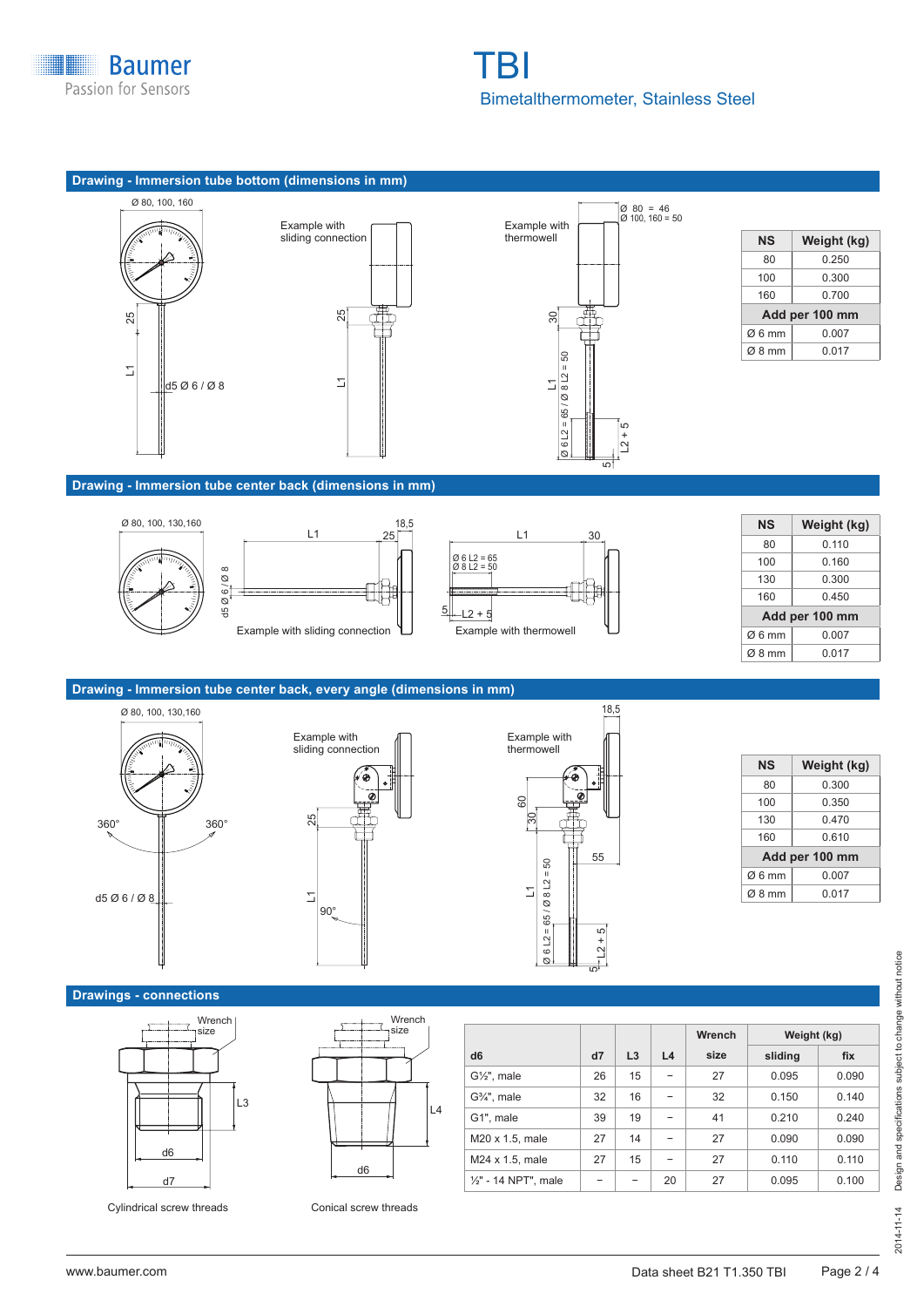





| NS    | Weight (kg)    |  |  |  |
|-------|----------------|--|--|--|
| 80    | 0.250          |  |  |  |
| 100   | 0.300          |  |  |  |
| 160   | 0.700          |  |  |  |
|       | Add per 100 mm |  |  |  |
| Ø6mm  | 0.007          |  |  |  |
| Ø8 mm | 0.017          |  |  |  |

# **Drawing - Immersion tube center back (dimensions in mm)**



| NS                 | Weight (kg)    |  |  |
|--------------------|----------------|--|--|
| 80                 | 0.110          |  |  |
| 100                | 0.160          |  |  |
| 130                | 0.300          |  |  |
| 160                | 0 450          |  |  |
|                    | Add per 100 mm |  |  |
| Ø6 mm              | 0.007          |  |  |
| $\varnothing$ 8 mm | 0.017          |  |  |
|                    |                |  |  |

# **Drawing - Immersion tube center back, every angle (dimensions in mm)**







| NS                 | Weight (kg)    |  |  |
|--------------------|----------------|--|--|
| 80                 | 0.300          |  |  |
| 100                | 0.350          |  |  |
| 130                | 0.470          |  |  |
| 160                | 0.610          |  |  |
|                    | Add per 100 mm |  |  |
| $\varnothing$ 6 mm | 0.007          |  |  |
| $Ø$ 8 mm           | 0.017          |  |  |
|                    |                |  |  |

## **Drawings - connections**





Cylindrical screw threads Conical screw threads

|                         |    |    |    | Wrench | Weight (kg) |       |
|-------------------------|----|----|----|--------|-------------|-------|
| d <sub>6</sub>          | d7 | L3 | L4 | size   | sliding     | fix   |
| $G\frac{1}{2}$ , male   | 26 | 15 |    | 27     | 0.095       | 0.090 |
| $G3/4$ ", male          | 32 | 16 |    | 32     | 0.150       | 0.140 |
| G1", male               | 39 | 19 |    | 41     | 0.210       | 0.240 |
| M20 x 1.5, male         | 27 | 14 |    | 27     | 0.090       | 0.090 |
| $M24 \times 1.5$ , male | 27 | 15 |    | 27     | 0.110       | 0.110 |
| 1/2" - 14 NPT", male    |    |    | 20 | 27     | 0.095       | 0.100 |

Design and specifications subject to change without notice 2014-11-14 Design and specifications subject to change without notice  $2014 - 11 - 14$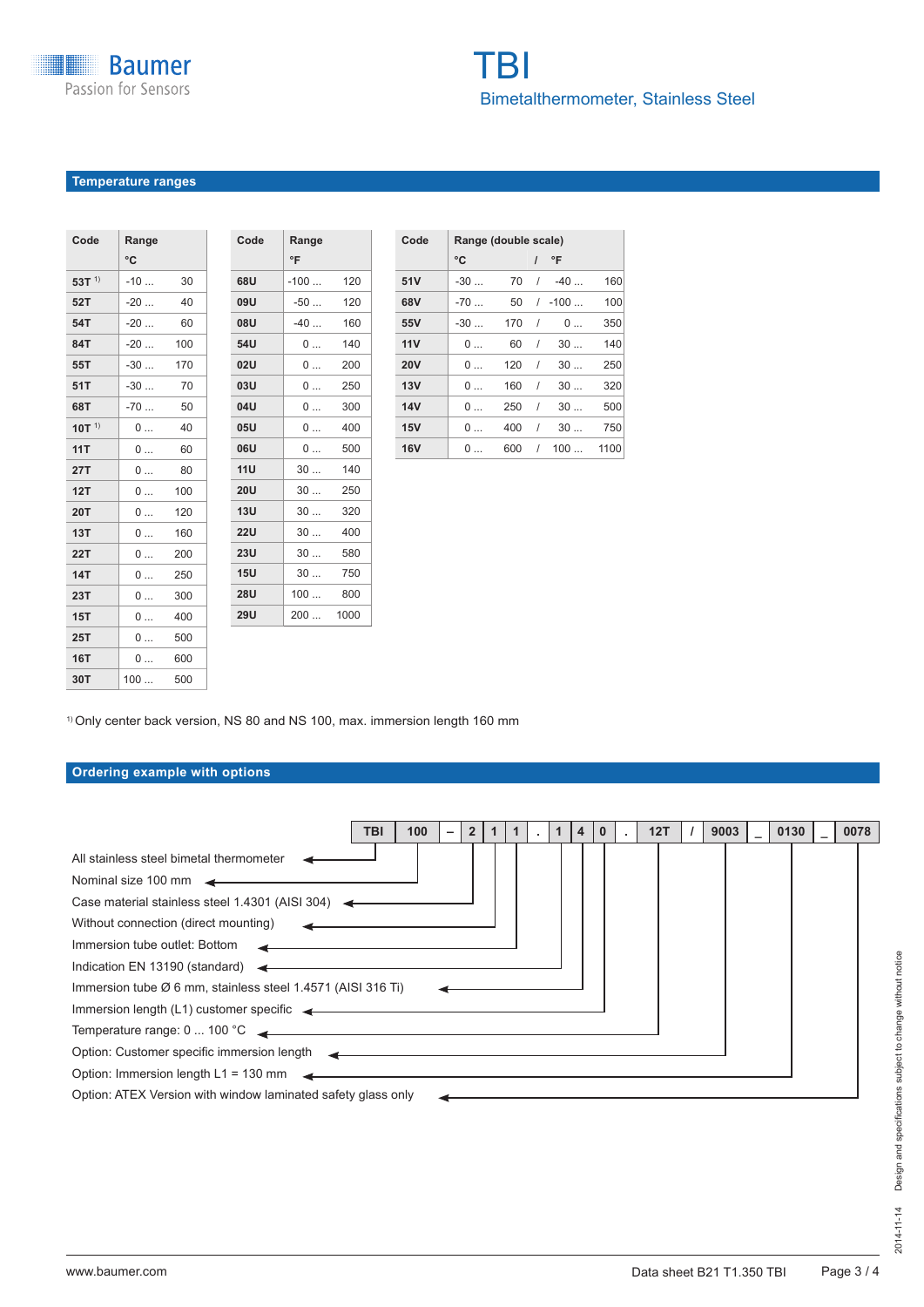# **Temperature ranges**

| Code       | Range |     |
|------------|-------|-----|
|            | °C    |     |
| 53T $1)$   | $-10$ | 30  |
| 52T        | $-20$ | 40  |
| 54T        | $-20$ | 60  |
| 84T        | $-20$ | 100 |
| 55T        | $-30$ | 170 |
| 51T        | $-30$ | 70  |
| 68T        | $-70$ | 50  |
| 10T $1)$   | 0     | 40  |
| 11T        | 0     | 60  |
| 27T        | 0     | 80  |
| 12T        | 0     | 100 |
| <b>20T</b> | 0     | 120 |
| 13T        | 0     | 160 |
| <b>22T</b> | 0     | 200 |
| <b>14T</b> | 0     | 250 |
| 23T        | 0     | 300 |
| 15T        | 0     | 400 |
| 25T        | 0     | 500 |
| <b>16T</b> | 0     | 600 |
| 30T        | 100   | 500 |

| Code       | Range  |      |
|------------|--------|------|
|            | °F     |      |
| 68U        | $-100$ | 120  |
| 09U        | $-50$  | 120  |
| 08U        | $-40$  | 160  |
| 54U        | 0      | 140  |
| <b>02U</b> | 0      | 200  |
| <b>03U</b> | 0      | 250  |
| 04U        | 0      | 300  |
| 05U        | 0      | 400  |
| 06U        | 0      | 500  |
| 11U        | 30     | 140  |
| 20U        | 30     | 250  |
| 13U        | 30     | 320  |
| 22U        | 30     | 400  |
| 23U        | 30     | 580  |
| 15U        | 30     | 750  |
| <b>28U</b> | 100    | 800  |
| <b>29U</b> | 200    | 1000 |
|            |        |      |
|            |        |      |

| Code       | Range (double scale) |     |          |          |      |
|------------|----------------------|-----|----------|----------|------|
|            | °C                   |     |          | °F       |      |
| 51V        | $-30$                | 70  | $\prime$ | $-40$    | 160  |
| 68V        | $-70$                | 50  |          | $/ -100$ | 100  |
| 55V        | $-30$                | 170 | 1        | 0        | 350  |
| 11V        | 0                    | 60  | 1        | 30       | 140  |
| <b>20V</b> | 0                    | 120 | 1        | 30       | 250  |
| 13V        | 0                    | 160 | $\prime$ | 30       | 320  |
| 14V        | 0                    | 250 | 1        | 30       | 500  |
| 15V        | 0                    | 400 | $\prime$ | 30       | 750  |
| <b>16V</b> | 0                    | 600 | 1        | 100      | 1100 |

1) Only center back version, NS 80 and NS 100, max. immersion length 160 mm

# **Ordering example with options**

| 100<br>12T<br>TBI<br>2 <sup>2</sup><br>1<br>4 <sup>7</sup>                                                                                                                                                                        | 9003 | 0130 | 0078 |
|-----------------------------------------------------------------------------------------------------------------------------------------------------------------------------------------------------------------------------------|------|------|------|
| All stainless steel bimetal thermometer                                                                                                                                                                                           |      |      |      |
| Nominal size 100 mm                                                                                                                                                                                                               |      |      |      |
| Case material stainless steel 1.4301 (AISI 304) $\leftarrow$                                                                                                                                                                      |      |      |      |
| Without connection (direct mounting)                                                                                                                                                                                              |      |      |      |
| Immersion tube outlet: Bottom                                                                                                                                                                                                     |      |      |      |
| Indication EN 13190 (standard)                                                                                                                                                                                                    |      |      |      |
| Immersion tube $\varnothing$ 6 mm, stainless steel 1.4571 (AISI 316 Ti)                                                                                                                                                           |      |      |      |
|                                                                                                                                                                                                                                   |      |      |      |
| Temperature range: 0  100 °C<br><u> and</u> the contract of the contract of the contract of the contract of the contract of the contract of the contract of the contract of the contract of the contract of the contract of the c |      |      |      |
| Option: Customer specific immersion length $\sim$                                                                                                                                                                                 |      |      |      |
| Option: Immersion length L1 = 130 mm                                                                                                                                                                                              |      |      |      |
| Option: ATEX Version with window laminated safety glass only                                                                                                                                                                      |      |      |      |